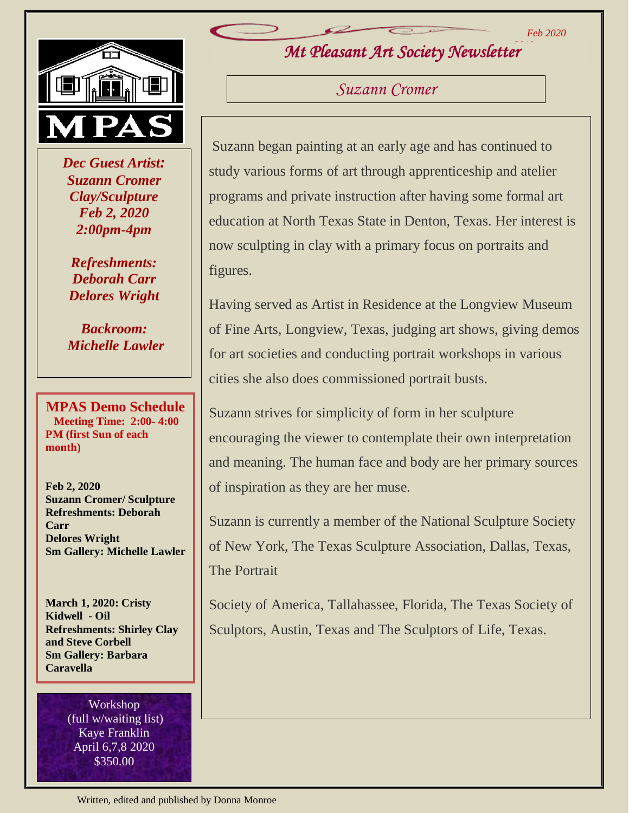*Feb 2020*



 *Dec Guest Artist: Suzann Cromer Clay/Sculpture Feb 2, 2020 2:00pm-4pm*

*Refreshments: Deborah Carr Delores Wright*

*Backroom: Michelle Lawler*

**MPAS Demo Schedule Meeting Time: 2:00- 4:00 PM (first Sun of each month)**

**Feb 2, 2020 Suzann Cromer/ Sculpture Refreshments: Deborah Carr Delores Wright Sm Gallery: Michelle Lawler**

**March 1, 2020: Cristy Kidwell - Oil Refreshments: Shirley Clay and Steve Corbell Sm Gallery: Barbara Caravella**

> Workshop (full w/waiting list) Kaye Franklin April 6,7,8 2020 \$350.00

*Mt Pleasant Art Society Newsletter 2019*

*Suzann Cromer*

Suzann began painting at an early age and has continued to study various forms of art through apprenticeship and atelier programs and private instruction after having some formal art education at North Texas State in Denton, Texas. Her interest is now sculpting in clay with a primary focus on portraits and figures.

Having served as Artist in Residence at the Longview Museum of Fine Arts, Longview, Texas, judging art shows, giving demos for art societies and conducting portrait workshops in various cities she also does commissioned portrait busts.

Suzann strives for simplicity of form in her sculpture encouraging the viewer to contemplate their own interpretation and meaning. The human face and body are her primary sources of inspiration as they are her muse.

Suzann is currently a member of the National Sculpture Society of New York, The Texas Sculpture Association, Dallas, Texas, The Portrait

Society of America, Tallahassee, Florida, The Texas Society of Sculptors, Austin, Texas and The Sculptors of Life, Texas.